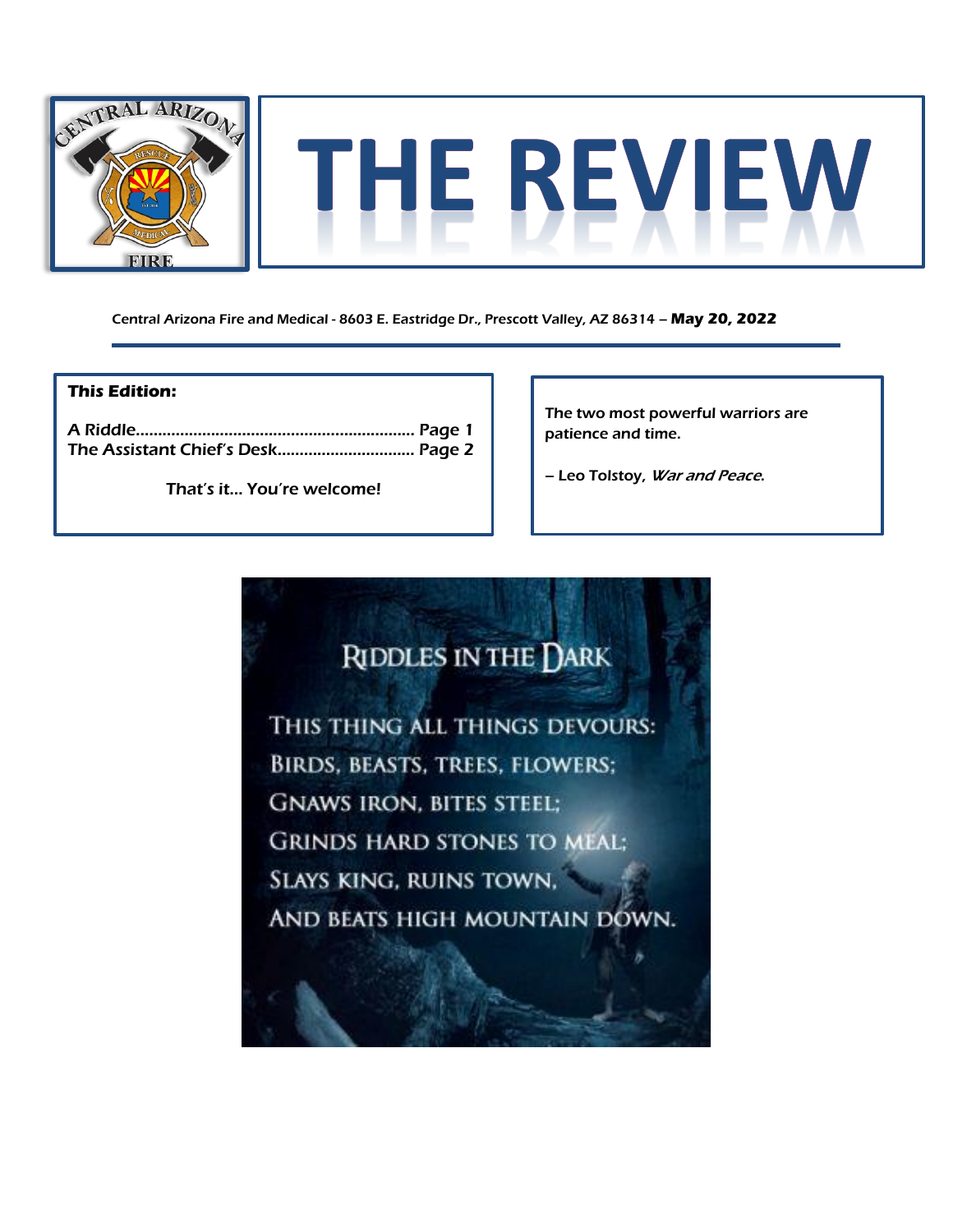

Central Arizona Fire and Medical - 8603 E. Eastridge Dr., Prescott Valley, AZ 86314 – **May 20, 2022**

## **This Edition:**

That's it… You're welcome!

The two most powerful warriors are patience and time.

- Leo Tolstoy, War and Peace.

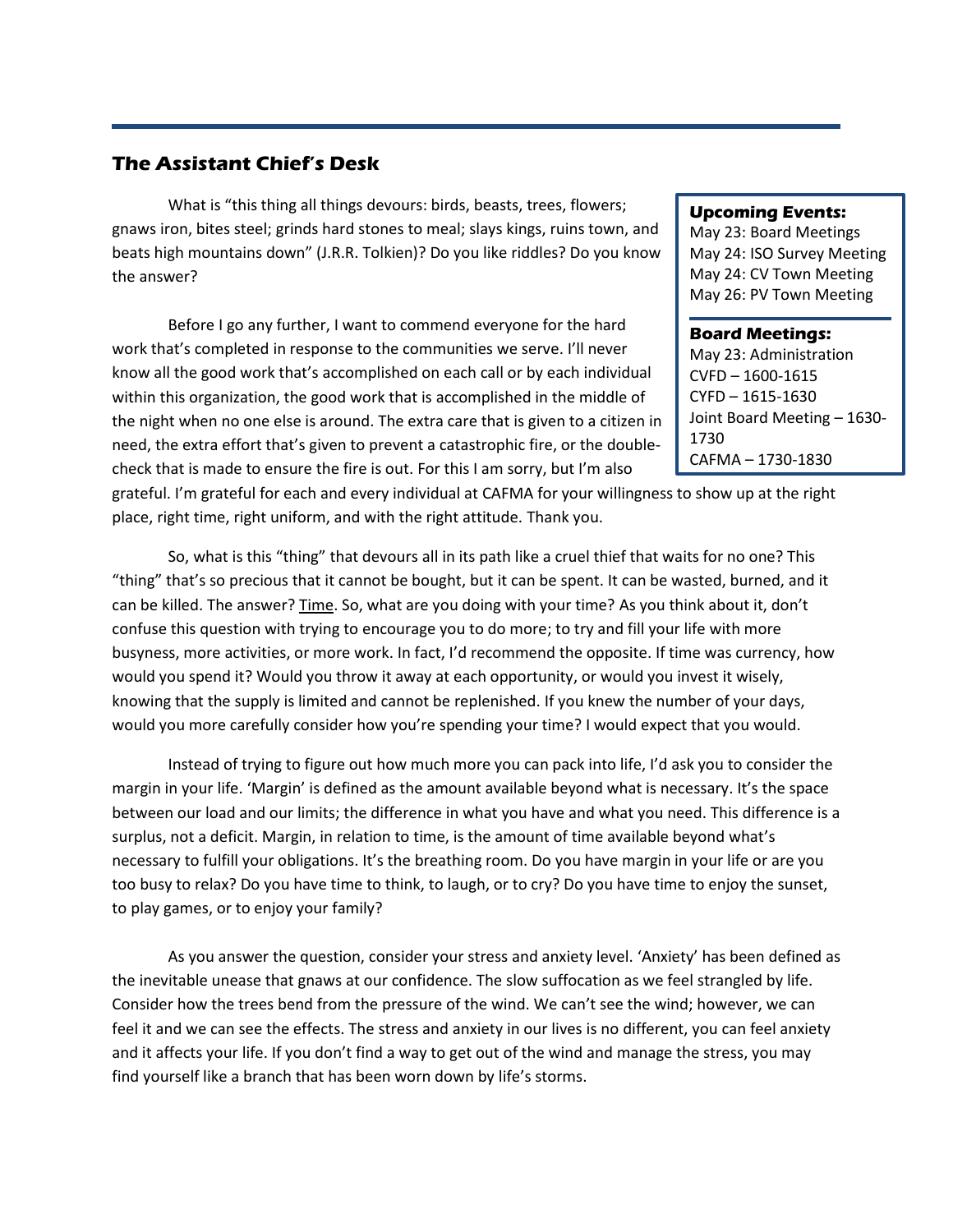## **The Assistant Chief's Desk**

What is "this thing all things devours: birds, beasts, trees, flowers; gnaws iron, bites steel; grinds hard stones to meal; slays kings, ruins town, and beats high mountains down" (J.R.R. Tolkien)? Do you like riddles? Do you know the answer?

Before I go any further, I want to commend everyone for the hard work that's completed in response to the communities we serve. I'll never know all the good work that's accomplished on each call or by each individual within this organization, the good work that is accomplished in the middle of the night when no one else is around. The extra care that is given to a citizen in need, the extra effort that's given to prevent a catastrophic fire, or the doublecheck that is made to ensure the fire is out. For this I am sorry, but I'm also

## grateful. I'm grateful for each and every individual at CAFMA for your willingness to show up at the right place, right time, right uniform, and with the right attitude. Thank you.

So, what is this "thing" that devours all in its path like a cruel thief that waits for no one? This "thing" that's so precious that it cannot be bought, but it can be spent. It can be wasted, burned, and it can be killed. The answer? Time. So, what are you doing with your time? As you think about it, don't confuse this question with trying to encourage you to do more; to try and fill your life with more busyness, more activities, or more work. In fact, I'd recommend the opposite. If time was currency, how would you spend it? Would you throw it away at each opportunity, or would you invest it wisely, knowing that the supply is limited and cannot be replenished. If you knew the number of your days, would you more carefully consider how you're spending your time? I would expect that you would.

Instead of trying to figure out how much more you can pack into life, I'd ask you to consider the margin in your life. 'Margin' is defined as the amount available beyond what is necessary. It's the space between our load and our limits; the difference in what you have and what you need. This difference is a surplus, not a deficit. Margin, in relation to time, is the amount of time available beyond what's necessary to fulfill your obligations. It's the breathing room. Do you have margin in your life or are you too busy to relax? Do you have time to think, to laugh, or to cry? Do you have time to enjoy the sunset, to play games, or to enjoy your family?

As you answer the question, consider your stress and anxiety level. 'Anxiety' has been defined as the inevitable unease that gnaws at our confidence. The slow suffocation as we feel strangled by life. Consider how the trees bend from the pressure of the wind. We can't see the wind; however, we can feel it and we can see the effects. The stress and anxiety in our lives is no different, you can feel anxiety and it affects your life. If you don't find a way to get out of the wind and manage the stress, you may find yourself like a branch that has been worn down by life's storms.

## **Upcoming Events:**

May 23: Board Meetings May 24: ISO Survey Meeting May 24: CV Town Meeting May 26: PV Town Meeting

**Board Meetings:** May 23: Administration CVFD – 1600-1615 CYFD – 1615-1630 Joint Board Meeting – 1630- 1730 CAFMA – 1730-1830